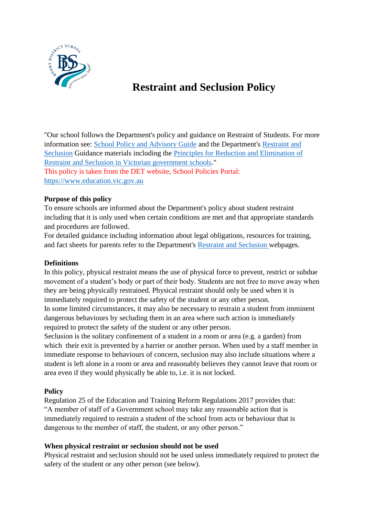

# **Restraint and Seclusion Policy**

"Our school follows the Department's policy and guidance on Restraint of Students. For more information see: [School Policy and Advisory Guide](http://www.education.vic.gov.au/school/principals/spag/governance/Pages/restraint.aspx) and the Department's [Restraint and](https://www.education.vic.gov.au/school/teachers/behaviour/restraint/Pages/default.aspx)  [Seclusion](https://www.education.vic.gov.au/school/teachers/behaviour/restraint/Pages/default.aspx) Guidance materials including the [Principles for Reduction and Elimination of](http://www.education.vic.gov.au/Documents/school/principals/participation/15Principals.pdf)  Restraint [and Seclusion in Victorian government schools.](http://www.education.vic.gov.au/Documents/school/principals/participation/15Principals.pdf)" This policy is taken from the DET website, School Policies Portal: [https://www.education.vic.gov.au](https://www.education.vic.gov.au/)

### **Purpose of this policy**

To ensure schools are informed about the Department's policy about student restraint including that it is only used when certain conditions are met and that appropriate standards and procedures are followed.

For detailed guidance including information about legal obligations, resources for training, and fact sheets for parents refer to the Department's [Restraint and Seclusion w](https://www.education.vic.gov.au/school/teachers/behaviour/restraint/Pages/default.aspx)ebpages.

#### **Definitions**

In this policy, physical restraint means the use of physical force to prevent, restrict or subdue movement of a student's body or part of their body. Students are not free to move away when they are being physically restrained. Physical restraint should only be used when it is immediately required to protect the safety of the student or any other person. In some limited circumstances, it may also be necessary to restrain a student from imminent dangerous behaviours by secluding them in an area where such action is immediately required to protect the safety of the student or any other person.

Seclusion is the solitary confinement of a student in a room or area (e.g. a garden) from which their exit is prevented by a barrier or another person. When used by a staff member in immediate response to behaviours of concern, seclusion may also include situations where a student is left alone in a room or area and reasonably believes they cannot leave that room or area even if they would physically be able to, i.e. it is not locked.

#### **Policy**

Regulation 25 of the Education and Training Reform Regulations 2017 provides that: "A member of staff of a Government school may take any reasonable action that is immediately required to restrain a student of the school from acts or behaviour that is dangerous to the member of staff, the student, or any other person."

#### **When physical restraint or seclusion should not be used**

Physical restraint and seclusion should not be used unless immediately required to protect the safety of the student or any other person (see below).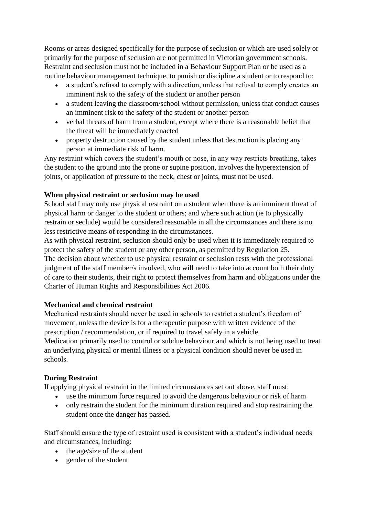Rooms or areas designed specifically for the purpose of seclusion or which are used solely or primarily for the purpose of seclusion are not permitted in Victorian government schools. Restraint and seclusion must not be included in a Behaviour Support Plan or be used as a routine behaviour management technique, to punish or discipline a student or to respond to:

- a student's refusal to comply with a direction, unless that refusal to comply creates an imminent risk to the safety of the student or another person
- a student leaving the classroom/school without permission, unless that conduct causes an imminent risk to the safety of the student or another person
- verbal threats of harm from a student, except where there is a reasonable belief that the threat will be immediately enacted
- property destruction caused by the student unless that destruction is placing any person at immediate risk of harm.

Any restraint which covers the student's mouth or nose, in any way restricts breathing, takes the student to the ground into the prone or supine position, involves the hyperextension of joints, or application of pressure to the neck, chest or joints, must not be used.

### **When physical restraint or seclusion may be used**

School staff may only use physical restraint on a student when there is an imminent threat of physical harm or danger to the student or others; and where such action (ie to physically restrain or seclude) would be considered reasonable in all the circumstances and there is no less restrictive means of responding in the circumstances.

As with physical restraint, seclusion should only be used when it is immediately required to protect the safety of the student or any other person, as permitted by Regulation 25. The decision about whether to use physical restraint or seclusion rests with the professional judgment of the staff member/s involved, who will need to take into account both their duty of care to their students, their right to protect themselves from harm and obligations under the Charter of Human Rights and Responsibilities Act 2006.

# **Mechanical and chemical restraint**

Mechanical restraints should never be used in schools to restrict a student's freedom of movement, unless the device is for a therapeutic purpose with written evidence of the prescription / recommendation, or if required to travel safely in a vehicle. Medication primarily used to control or subdue behaviour and which is not being used to treat an underlying physical or mental illness or a physical condition should never be used in schools.

# **During Restraint**

If applying physical restraint in the limited circumstances set out above, staff must:

- use the minimum force required to avoid the dangerous behaviour or risk of harm
- only restrain the student for the minimum duration required and stop restraining the student once the danger has passed.

Staff should ensure the type of restraint used is consistent with a student's individual needs and circumstances, including:

- $\bullet$  the age/size of the student
- gender of the student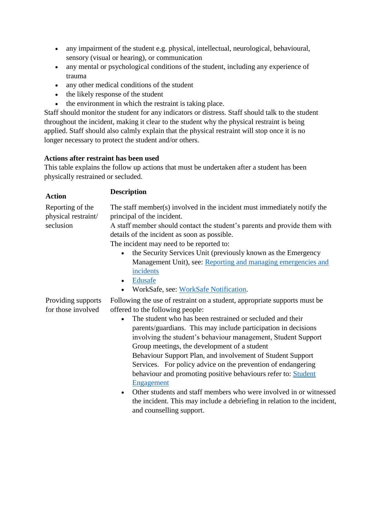- any impairment of the student e.g. physical, intellectual, neurological, behavioural, sensory (visual or hearing), or communication
- any mental or psychological conditions of the student, including any experience of trauma
- any other medical conditions of the student
- the likely response of the student
- the environment in which the restraint is taking place.

Staff should monitor the student for any indicators or distress. Staff should talk to the student throughout the incident, making it clear to the student why the physical restraint is being applied. Staff should also calmly explain that the physical restraint will stop once it is no longer necessary to protect the student and/or others.

# **Actions after restraint has been used**

This table explains the follow up actions that must be undertaken after a student has been physically restrained or secluded.

| <b>Action</b>       | <b>Description</b>                                                                                                        |
|---------------------|---------------------------------------------------------------------------------------------------------------------------|
| Reporting of the    | The staff member(s) involved in the incident must immediately notify the                                                  |
| physical restraint/ | principal of the incident.                                                                                                |
| seclusion           | A staff member should contact the student's parents and provide them with<br>details of the incident as soon as possible. |
|                     | The incident may need to be reported to:                                                                                  |
|                     | the Security Services Unit (previously known as the Emergency<br>$\bullet$                                                |
|                     | Management Unit), see: Reporting and managing emergencies and                                                             |
|                     | incidents                                                                                                                 |
|                     | Edusafe<br>$\bullet$                                                                                                      |
|                     | WorkSafe, see: WorkSafe Notification.                                                                                     |
| Providing supports  | Following the use of restraint on a student, appropriate supports must be                                                 |
| for those involved  | offered to the following people:                                                                                          |
|                     | The student who has been restrained or secluded and their                                                                 |
|                     | parents/guardians. This may include participation in decisions                                                            |
|                     | involving the student's behaviour management, Student Support                                                             |
|                     | Group meetings, the development of a student                                                                              |
|                     | Behaviour Support Plan, and involvement of Student Support                                                                |
|                     | Services. For policy advice on the prevention of endangering                                                              |
|                     | behaviour and promoting positive behaviours refer to: Student                                                             |
|                     | Engagement                                                                                                                |
|                     | Other students and staff members who were involved in or witnessed<br>$\bullet$                                           |
|                     | the incident. This may include a debriefing in relation to the incident,                                                  |
|                     | and counselling support.                                                                                                  |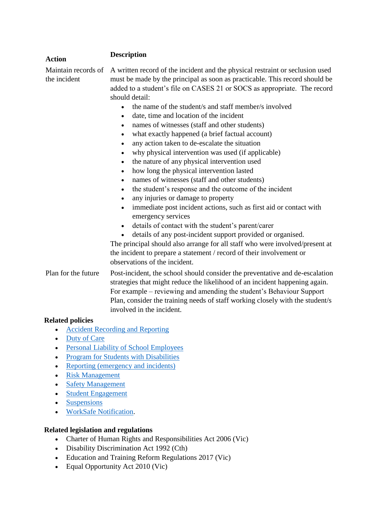| <b>Action</b>                       | <b>Description</b>                                                                                                                                                                                                                                                                                                                                                                                                                                                                                                                                                                                                                                                                                                                                                                                                                                                                                                                                                                                                                                                                                                                                                                                                                                                                                                                                                  |
|-------------------------------------|---------------------------------------------------------------------------------------------------------------------------------------------------------------------------------------------------------------------------------------------------------------------------------------------------------------------------------------------------------------------------------------------------------------------------------------------------------------------------------------------------------------------------------------------------------------------------------------------------------------------------------------------------------------------------------------------------------------------------------------------------------------------------------------------------------------------------------------------------------------------------------------------------------------------------------------------------------------------------------------------------------------------------------------------------------------------------------------------------------------------------------------------------------------------------------------------------------------------------------------------------------------------------------------------------------------------------------------------------------------------|
| Maintain records of<br>the incident | A written record of the incident and the physical restraint or seclusion used<br>must be made by the principal as soon as practicable. This record should be<br>added to a student's file on CASES 21 or SOCS as appropriate. The record<br>should detail:<br>the name of the student's and staff member's involved<br>$\bullet$<br>date, time and location of the incident<br>$\bullet$<br>names of witnesses (staff and other students)<br>what exactly happened (a brief factual account)<br>$\bullet$<br>any action taken to de-escalate the situation<br>$\bullet$<br>why physical intervention was used (if applicable)<br>$\bullet$<br>the nature of any physical intervention used<br>$\bullet$<br>how long the physical intervention lasted<br>$\bullet$<br>names of witnesses (staff and other students)<br>$\bullet$<br>the student's response and the outcome of the incident<br>$\bullet$<br>any injuries or damage to property<br>immediate post incident actions, such as first aid or contact with<br>emergency services<br>details of contact with the student's parent/carer<br>$\bullet$<br>details of any post-incident support provided or organised.<br>The principal should also arrange for all staff who were involved/present at<br>the incident to prepare a statement / record of their involvement or<br>observations of the incident. |
| Plan for the future                 | Post-incident, the school should consider the preventative and de-escalation<br>strategies that might reduce the likelihood of an incident happening again.<br>For example – reviewing and amending the student's Behaviour Support<br>Plan, consider the training needs of staff working closely with the student/s<br>involved in the incident.                                                                                                                                                                                                                                                                                                                                                                                                                                                                                                                                                                                                                                                                                                                                                                                                                                                                                                                                                                                                                   |
| <b>Related policies</b>             |                                                                                                                                                                                                                                                                                                                                                                                                                                                                                                                                                                                                                                                                                                                                                                                                                                                                                                                                                                                                                                                                                                                                                                                                                                                                                                                                                                     |
|                                     | <b>Accident Recording and Reporting</b>                                                                                                                                                                                                                                                                                                                                                                                                                                                                                                                                                                                                                                                                                                                                                                                                                                                                                                                                                                                                                                                                                                                                                                                                                                                                                                                             |
| <b>Duty of Care</b>                 |                                                                                                                                                                                                                                                                                                                                                                                                                                                                                                                                                                                                                                                                                                                                                                                                                                                                                                                                                                                                                                                                                                                                                                                                                                                                                                                                                                     |
|                                     | <b>Personal Liability of School Employees</b>                                                                                                                                                                                                                                                                                                                                                                                                                                                                                                                                                                                                                                                                                                                                                                                                                                                                                                                                                                                                                                                                                                                                                                                                                                                                                                                       |

- [Program for Students with Disabilities](https://www.education.vic.gov.au/school/principals/spag/curriculum/pages/disabilities.aspx)
- [Reporting \(emergency and incidents\)](https://www.education.vic.gov.au/school/principals/spag/management/pages/reporting.aspx)
- [Risk Management](https://www.education.vic.gov.au/school/principals/spag/governance/Pages/risk.aspx)
- [Safety Management](https://www.education.vic.gov.au/school/principals/spag/governance/Pages/safetymgt.aspx)
- [Student Engagement](https://www.education.vic.gov.au/school/principals/spag/participation/pages/engagement.aspx)
- [Suspensions](https://www.education.vic.gov.au/school/principals/spag/participation/Pages/suspensions.aspx)
- [WorkSafe Notification.](https://www.education.vic.gov.au/school/principals/spag/management/pages/worksafe.aspx)

#### **Related legislation and regulations**

- Charter of Human Rights and Responsibilities Act 2006 (Vic)
- Disability Discrimination Act 1992 (Cth)
- Education and Training Reform Regulations 2017 (Vic)
- Equal Opportunity Act 2010 (Vic)